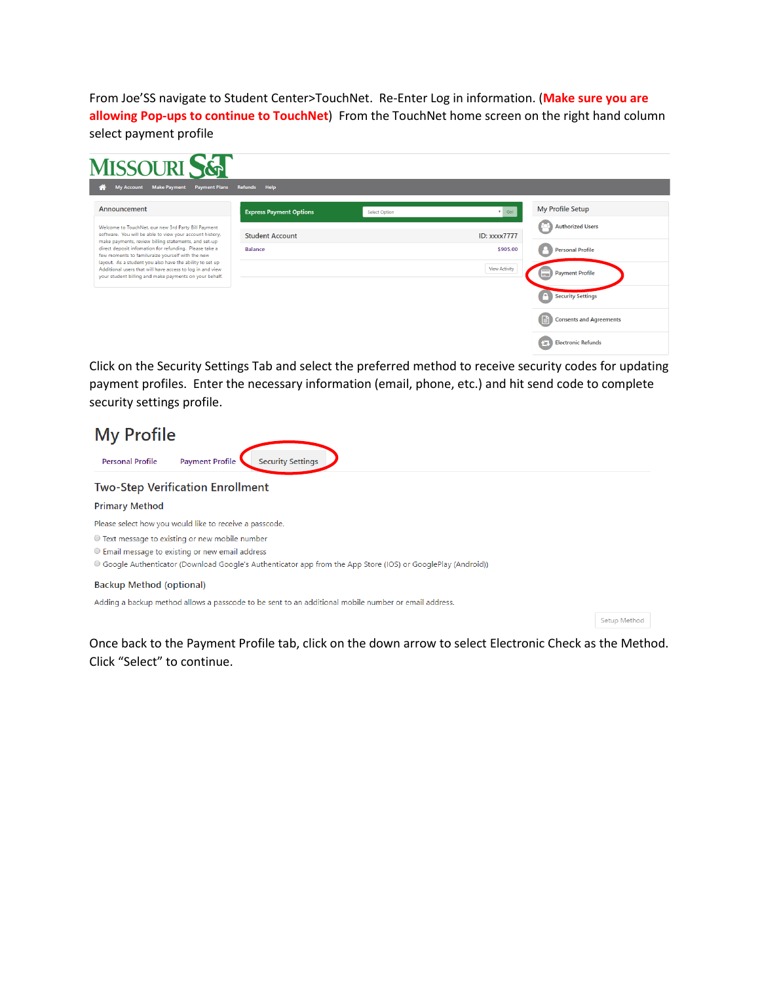From Joe'SS navigate to Student Center>TouchNet. Re-Enter Log in information. (**Make sure you are allowing Pop-ups to continue to TouchNet**) From the TouchNet home screen on the right hand column select payment profile

| MISSOURI S&                                                                                                                                                                                                                                                                                                                                                                                                                                                              |                                |                      |                      |                                     |
|--------------------------------------------------------------------------------------------------------------------------------------------------------------------------------------------------------------------------------------------------------------------------------------------------------------------------------------------------------------------------------------------------------------------------------------------------------------------------|--------------------------------|----------------------|----------------------|-------------------------------------|
| My Account Make Payment<br><b>Payment Plans</b><br>æ                                                                                                                                                                                                                                                                                                                                                                                                                     | Refunds<br>Help                |                      |                      |                                     |
| Announcement                                                                                                                                                                                                                                                                                                                                                                                                                                                             | <b>Express Payment Options</b> | <b>Select Option</b> | $\mathbf{v}$ Go!     | <b>My Profile Setup</b>             |
| Welcome to TouchNet, our new 3rd Party Bill Payment<br>software. You will be able to view your account history,<br>make payments, review billing statements, and set-up<br>direct deposit infomation for refunding. Please take a<br>few moments to familuraize yourself with the new<br>layout. As a student you also have the ability to set up<br>Additional users that will have access to log in and view<br>your student billing and make payments on your behalf. | <b>Student Account</b>         |                      | <b>ID: xxxx7777</b>  | <b>Authorized Users</b>             |
|                                                                                                                                                                                                                                                                                                                                                                                                                                                                          | <b>Balance</b>                 |                      | \$905.00             | <b>Personal Profile</b>             |
|                                                                                                                                                                                                                                                                                                                                                                                                                                                                          |                                |                      | <b>View Activity</b> | <b>Payment Profile</b><br>m.        |
|                                                                                                                                                                                                                                                                                                                                                                                                                                                                          |                                |                      |                      | <b>Security Settings</b>            |
|                                                                                                                                                                                                                                                                                                                                                                                                                                                                          |                                |                      |                      | 目<br><b>Consents and Agreements</b> |
|                                                                                                                                                                                                                                                                                                                                                                                                                                                                          |                                |                      |                      | <b>Electronic Refunds</b><br>457    |

Click on the Security Settings Tab and select the preferred method to receive security codes for updating payment profiles. Enter the necessary information (email, phone, etc.) and hit send code to complete security settings profile.

| <b>My Profile</b>                                                                                                                                                                                                    |  |  |  |
|----------------------------------------------------------------------------------------------------------------------------------------------------------------------------------------------------------------------|--|--|--|
| <b>Security Settings</b><br><b>Personal Profile</b><br><b>Payment Profile</b>                                                                                                                                        |  |  |  |
| <b>Two-Step Verification Enrollment</b>                                                                                                                                                                              |  |  |  |
| <b>Primary Method</b>                                                                                                                                                                                                |  |  |  |
| Please select how you would like to receive a passcode.                                                                                                                                                              |  |  |  |
| ○ Text message to existing or new mobile number<br>○ Email message to existing or new email address<br>● Google Authenticator (Download Google's Authenticator app from the App Store (IOS) or GooglePlay (Android)) |  |  |  |
| <b>Backup Method (optional)</b>                                                                                                                                                                                      |  |  |  |
| Adding a backup method allows a passcode to be sent to an additional mobile number or email address.                                                                                                                 |  |  |  |

Setup Method

Once back to the Payment Profile tab, click on the down arrow to select Electronic Check as the Method. Click "Select" to continue.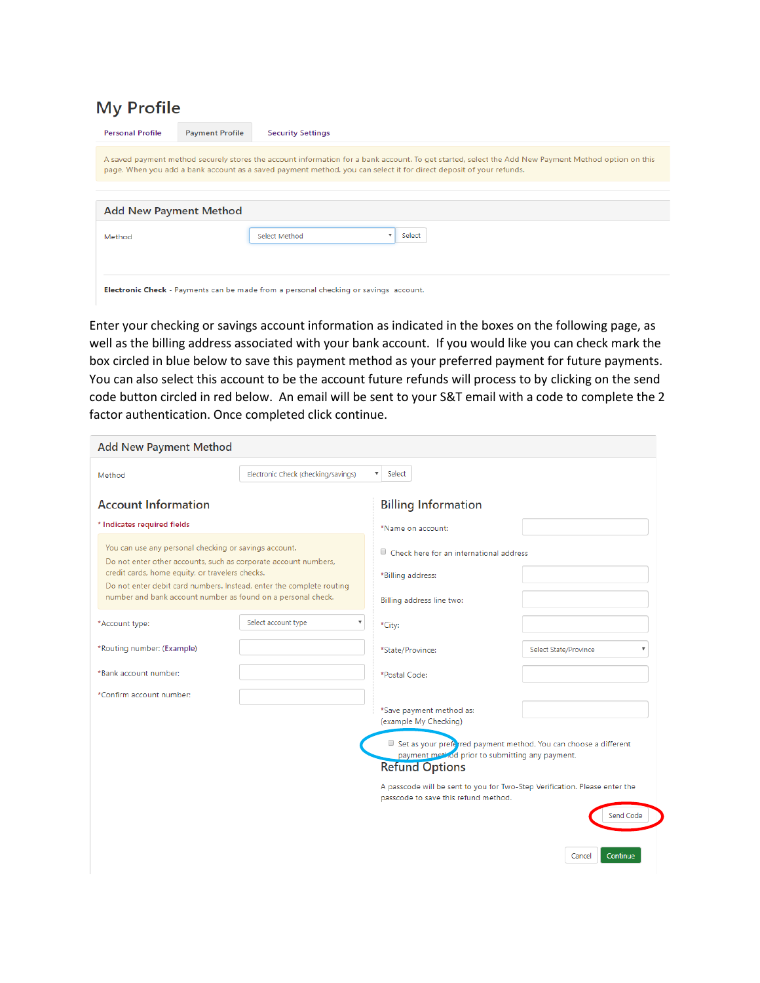## **My Profile**

| <b>Personal Profile</b>                                                                                                                                                                                                                                                   | <b>Payment Profile</b> | <b>Security Settings</b>                                                                    |  |
|---------------------------------------------------------------------------------------------------------------------------------------------------------------------------------------------------------------------------------------------------------------------------|------------------------|---------------------------------------------------------------------------------------------|--|
| A saved payment method securely stores the account information for a bank account. To get started, select the Add New Payment Method option on this<br>page. When you add a bank account as a saved payment method, you can select it for direct deposit of your refunds. |                        |                                                                                             |  |
|                                                                                                                                                                                                                                                                           |                        |                                                                                             |  |
| <b>Add New Payment Method</b>                                                                                                                                                                                                                                             |                        |                                                                                             |  |
| Method                                                                                                                                                                                                                                                                    |                        | Select<br>Select Method                                                                     |  |
|                                                                                                                                                                                                                                                                           |                        | <b>Electronic Check</b> - Payments can be made from a personal checking or sayings account. |  |

Enter your checking or savings account information as indicated in the boxes on the following page, as well as the billing address associated with your bank account. If you would like you can check mark the box circled in blue below to save this payment method as your preferred payment for future payments. You can also select this account to be the account future refunds will process to by clicking on the send code button circled in red below. An email will be sent to your S&T email with a code to complete the 2 factor authentication. Once completed click continue.

| <b>Add New Payment Method</b>                                                                                                                                                                                                                                                                                       |                                                  |                                                                                                                                              |                       |
|---------------------------------------------------------------------------------------------------------------------------------------------------------------------------------------------------------------------------------------------------------------------------------------------------------------------|--------------------------------------------------|----------------------------------------------------------------------------------------------------------------------------------------------|-----------------------|
| Method                                                                                                                                                                                                                                                                                                              | Electronic Check (checking/savings)              | $\overline{\mathbf{v}}$<br>Select                                                                                                            |                       |
| <b>Account Information</b>                                                                                                                                                                                                                                                                                          |                                                  | <b>Billing Information</b>                                                                                                                   |                       |
| * Indicates required fields                                                                                                                                                                                                                                                                                         |                                                  | *Name on account:                                                                                                                            |                       |
| You can use any personal checking or savings account.<br>Do not enter other accounts, such as corporate account numbers,<br>credit cards, home equity, or travelers checks.<br>Do not enter debit card numbers. Instead, enter the complete routing<br>number and bank account number as found on a personal check. |                                                  | $\Box$ Check here for an international address                                                                                               |                       |
|                                                                                                                                                                                                                                                                                                                     |                                                  | *Billing address:                                                                                                                            |                       |
|                                                                                                                                                                                                                                                                                                                     |                                                  | Billing address line two:                                                                                                                    |                       |
| *Account type:                                                                                                                                                                                                                                                                                                      | Select account type<br>$\boldsymbol{\mathrm{v}}$ | *City:                                                                                                                                       |                       |
| *Routing number: (Example)                                                                                                                                                                                                                                                                                          |                                                  | *State/Province:                                                                                                                             | Select State/Province |
| *Bank account number:                                                                                                                                                                                                                                                                                               |                                                  | *Postal Code:                                                                                                                                |                       |
| *Confirm account number:                                                                                                                                                                                                                                                                                            |                                                  |                                                                                                                                              |                       |
|                                                                                                                                                                                                                                                                                                                     |                                                  | *Save payment method as:<br>(example My Checking)                                                                                            |                       |
|                                                                                                                                                                                                                                                                                                                     |                                                  | Set as your preferred payment method. You can choose a different<br>payment method prior to submitting any payment.<br><b>Refund Options</b> |                       |
|                                                                                                                                                                                                                                                                                                                     |                                                  | A passcode will be sent to you for Two-Step Verification. Please enter the<br>passcode to save this refund method.                           | Send Code             |
|                                                                                                                                                                                                                                                                                                                     |                                                  |                                                                                                                                              | Continue<br>Cancel    |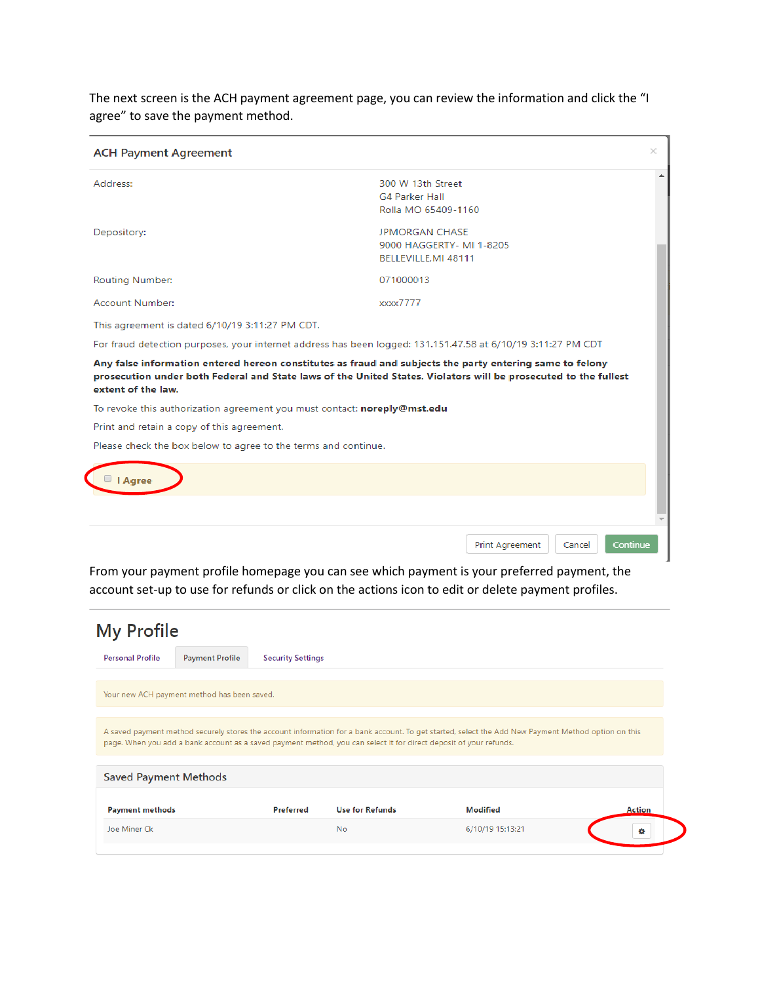The next screen is the ACH payment agreement page, you can review the information and click the "I agree" to save the payment method.

| <b>ACH Payment Agreement</b>                                             | ×                                                                                                                                                                                                                           |
|--------------------------------------------------------------------------|-----------------------------------------------------------------------------------------------------------------------------------------------------------------------------------------------------------------------------|
| Address:                                                                 | 300 W 13th Street<br><b>G4 Parker Hall</b><br>Rolla MO 65409-1160                                                                                                                                                           |
| Depository:                                                              | <b>JPMORGAN CHASE</b><br>9000 HAGGERTY- MI 1-8205<br>BELLEVILLE.MI 48111                                                                                                                                                    |
| <b>Routing Number:</b>                                                   | 071000013                                                                                                                                                                                                                   |
| Account Number:                                                          | xxxx7777                                                                                                                                                                                                                    |
| This agreement is dated 6/10/19 3:11:27 PM CDT.                          |                                                                                                                                                                                                                             |
|                                                                          | For fraud detection purposes, your internet address has been logged: 131.151.47.58 at 6/10/19 3:11:27 PM CDT                                                                                                                |
| extent of the law.                                                       | Any false information entered hereon constitutes as fraud and subjects the party entering same to felony<br>prosecution under both Federal and State laws of the United States. Violators will be prosecuted to the fullest |
| To revoke this authorization agreement you must contact: noreply@mst.edu |                                                                                                                                                                                                                             |
| Print and retain a copy of this agreement.                               |                                                                                                                                                                                                                             |
| Please check the box below to agree to the terms and continue.           |                                                                                                                                                                                                                             |
| I Agree                                                                  |                                                                                                                                                                                                                             |
|                                                                          |                                                                                                                                                                                                                             |
|                                                                          | Print Agreement<br>Continue<br>Cancel                                                                                                                                                                                       |

From your payment profile homepage you can see which payment is your preferred payment, the account set-up to use for refunds or click on the actions icon to edit or delete payment profiles.

| <b>My Profile</b>            |                                             |                          |                                                                                                                    |                                                                                                                                                     |               |
|------------------------------|---------------------------------------------|--------------------------|--------------------------------------------------------------------------------------------------------------------|-----------------------------------------------------------------------------------------------------------------------------------------------------|---------------|
| <b>Personal Profile</b>      | <b>Payment Profile</b>                      | <b>Security Settings</b> |                                                                                                                    |                                                                                                                                                     |               |
|                              | Your new ACH payment method has been saved. |                          |                                                                                                                    |                                                                                                                                                     |               |
|                              |                                             |                          | page. When you add a bank account as a saved payment method, you can select it for direct deposit of your refunds. | A saved payment method securely stores the account information for a bank account. To get started, select the Add New Payment Method option on this |               |
| <b>Saved Payment Methods</b> |                                             |                          |                                                                                                                    |                                                                                                                                                     |               |
| <b>Payment methods</b>       |                                             | <b>Preferred</b>         | <b>Use for Refunds</b>                                                                                             | <b>Modified</b>                                                                                                                                     | <b>Action</b> |
| Joe Miner Ck                 |                                             |                          | <b>No</b>                                                                                                          | 6/10/19 15:13:21                                                                                                                                    | ö             |